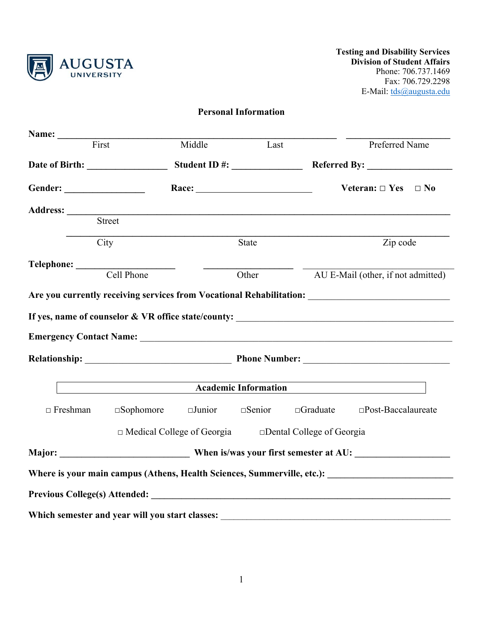

## **Personal Information**

| Name: First                                     |                                          | Middle Last |                           |                                                                    | Preferred Name                                                                                       |
|-------------------------------------------------|------------------------------------------|-------------|---------------------------|--------------------------------------------------------------------|------------------------------------------------------------------------------------------------------|
|                                                 |                                          |             |                           |                                                                    |                                                                                                      |
|                                                 |                                          |             |                           |                                                                    | Veteran: $\Box$ Yes $\Box$ No                                                                        |
|                                                 |                                          |             |                           |                                                                    |                                                                                                      |
| Address: Street                                 |                                          |             |                           |                                                                    |                                                                                                      |
|                                                 | City                                     |             | $\overline{\text{State}}$ |                                                                    | Zip code                                                                                             |
|                                                 |                                          |             |                           |                                                                    |                                                                                                      |
| Telephone: Cell Phone                           |                                          |             | Other                     |                                                                    | AU E-Mail (other, if not admitted)                                                                   |
|                                                 |                                          |             |                           |                                                                    |                                                                                                      |
|                                                 | <b>Example 2018</b> Academic Information |             |                           |                                                                    |                                                                                                      |
| $\Box$ Freshman                                 |                                          |             |                           |                                                                    | $\Box$ Sophomore $\Box$ Junior $\Box$ Senior $\Box$ Graduate $\Box$ Post-Baccalaureate               |
|                                                 |                                          |             |                           | $\Box$ Medical College of Georgia $\Box$ Dental College of Georgia |                                                                                                      |
|                                                 |                                          |             |                           |                                                                    |                                                                                                      |
|                                                 |                                          |             |                           |                                                                    | Where is your main campus (Athens, Health Sciences, Summerville, etc.): ____________________________ |
|                                                 |                                          |             |                           |                                                                    |                                                                                                      |
| Which semester and year will you start classes: |                                          |             |                           |                                                                    |                                                                                                      |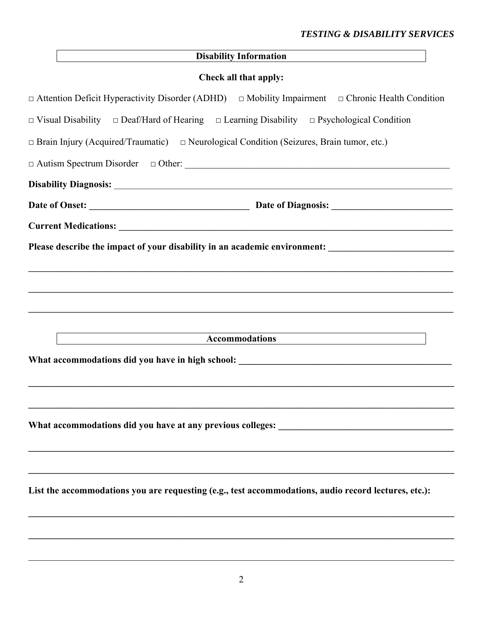|                                                                                                                   | Disability Information |  |
|-------------------------------------------------------------------------------------------------------------------|------------------------|--|
|                                                                                                                   | Check all that apply:  |  |
| $\Box$ Attention Deficit Hyperactivity Disorder (ADHD) $\Box$ Mobility Impairment $\Box$ Chronic Health Condition |                        |  |
| $\Box$ Visual Disability $\Box$ Deaf/Hard of Hearing $\Box$ Learning Disability $\Box$ Psychological Condition    |                        |  |
| $\Box$ Brain Injury (Acquired/Traumatic) $\Box$ Neurological Condition (Seizures, Brain tumor, etc.)              |                        |  |
| $\Box$ Autism Spectrum Disorder $\Box$ Other:                                                                     |                        |  |
|                                                                                                                   |                        |  |
|                                                                                                                   |                        |  |
|                                                                                                                   |                        |  |
| Please describe the impact of your disability in an academic environment: __________________________              |                        |  |
|                                                                                                                   |                        |  |
|                                                                                                                   |                        |  |
|                                                                                                                   |                        |  |
| Accommodations                                                                                                    |                        |  |
|                                                                                                                   |                        |  |
| What accommodations did you have in high school: ________________________________                                 |                        |  |
|                                                                                                                   |                        |  |
|                                                                                                                   |                        |  |
| What accommodations did you have at any previous colleges: ______________________                                 |                        |  |
|                                                                                                                   |                        |  |
|                                                                                                                   |                        |  |
| List the accommodations you are requesting (e.g., test accommodations, audio record lectures, etc.):              |                        |  |
|                                                                                                                   |                        |  |
|                                                                                                                   |                        |  |
|                                                                                                                   |                        |  |